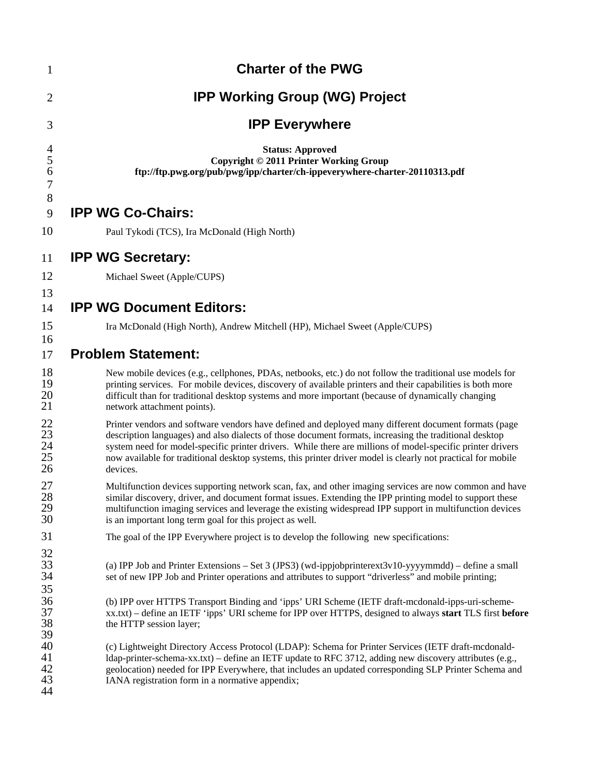| $\mathbf{1}$                            | <b>Charter of the PWG</b>                                                                                                                                                                                                                                                                                                                                                                                                                                |
|-----------------------------------------|----------------------------------------------------------------------------------------------------------------------------------------------------------------------------------------------------------------------------------------------------------------------------------------------------------------------------------------------------------------------------------------------------------------------------------------------------------|
| $\overline{2}$                          | <b>IPP Working Group (WG) Project</b>                                                                                                                                                                                                                                                                                                                                                                                                                    |
| 3                                       | <b>IPP Everywhere</b>                                                                                                                                                                                                                                                                                                                                                                                                                                    |
| $\overline{\mathcal{A}}$<br>5<br>6<br>7 | <b>Status: Approved</b><br>Copyright © 2011 Printer Working Group<br>ftp://ftp.pwg.org/pub/pwg/ipp/charter/ch-ippeverywhere-charter-20110313.pdf                                                                                                                                                                                                                                                                                                         |
| 8<br>9                                  | <b>IPP WG Co-Chairs:</b>                                                                                                                                                                                                                                                                                                                                                                                                                                 |
| 10                                      | Paul Tykodi (TCS), Ira McDonald (High North)                                                                                                                                                                                                                                                                                                                                                                                                             |
| 11                                      | <b>IPP WG Secretary:</b>                                                                                                                                                                                                                                                                                                                                                                                                                                 |
| 12                                      | Michael Sweet (Apple/CUPS)                                                                                                                                                                                                                                                                                                                                                                                                                               |
| 13<br>14                                | <b>IPP WG Document Editors:</b>                                                                                                                                                                                                                                                                                                                                                                                                                          |
| 15                                      | Ira McDonald (High North), Andrew Mitchell (HP), Michael Sweet (Apple/CUPS)                                                                                                                                                                                                                                                                                                                                                                              |
| 16<br>17                                | <b>Problem Statement:</b>                                                                                                                                                                                                                                                                                                                                                                                                                                |
| 18<br>19<br>20<br>21                    | New mobile devices (e.g., cellphones, PDAs, netbooks, etc.) do not follow the traditional use models for<br>printing services. For mobile devices, discovery of available printers and their capabilities is both more<br>difficult than for traditional desktop systems and more important (because of dynamically changing<br>network attachment points).                                                                                              |
| 22<br>23<br>24<br>25<br>26              | Printer vendors and software vendors have defined and deployed many different document formats (page<br>description languages) and also dialects of those document formats, increasing the traditional desktop<br>system need for model-specific printer drivers. While there are millions of model-specific printer drivers<br>now available for traditional desktop systems, this printer driver model is clearly not practical for mobile<br>devices. |
| 27<br>28<br>29<br>30                    | Multifunction devices supporting network scan, fax, and other imaging services are now common and have<br>similar discovery, driver, and document format issues. Extending the IPP printing model to support these<br>multifunction imaging services and leverage the existing widespread IPP support in multifunction devices<br>is an important long term goal for this project as well.                                                               |
| 31                                      | The goal of the IPP Everywhere project is to develop the following new specifications:                                                                                                                                                                                                                                                                                                                                                                   |
| 32<br>33<br>34<br>35                    | (a) IPP Job and Printer Extensions – Set 3 (JPS3) (wd-ippjobprinterext3v10-yyyymmdd) – define a small<br>set of new IPP Job and Printer operations and attributes to support "driverless" and mobile printing;                                                                                                                                                                                                                                           |
| 36<br>37<br>38<br>39                    | (b) IPP over HTTPS Transport Binding and 'ipps' URI Scheme (IETF draft-mcdonald-ipps-uri-scheme-<br>xx.txt) - define an IETF 'ipps' URI scheme for IPP over HTTPS, designed to always start TLS first before<br>the HTTP session layer;                                                                                                                                                                                                                  |
| 40<br>41<br>42<br>43<br>44              | (c) Lightweight Directory Access Protocol (LDAP): Schema for Printer Services (IETF draft-mcdonald-<br>ldap-printer-schema-xx.txt) – define an IETF update to RFC 3712, adding new discovery attributes (e.g.,<br>geolocation) needed for IPP Everywhere, that includes an updated corresponding SLP Printer Schema and<br>IANA registration form in a normative appendix;                                                                               |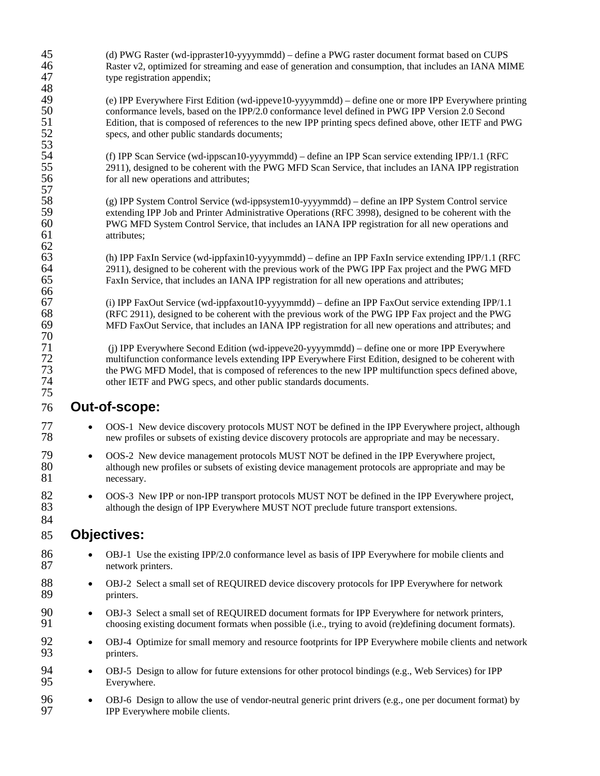| (f) IPP Scan Service (wd-ippscan10-yyyymmdd) – define an IPP Scan service extending IPP/1.1 (RFC)<br>2911), designed to be coherent with the PWG MFD Scan Service, that includes an IANA IPP registration<br>(g) IPP System Control Service (wd-ippsystem10-yyyymmdd) - define an IPP System Control service<br>extending IPP Job and Printer Administrative Operations (RFC 3998), designed to be coherent with the<br>PWG MFD System Control Service, that includes an IANA IPP registration for all new operations and<br>(h) IPP FaxIn Service (wd-ippfaxin10-yyyymmdd) – define an IPP FaxIn service extending IPP/1.1 (RFC<br>2911), designed to be coherent with the previous work of the PWG IPP Fax project and the PWG MFD<br>FaxIn Service, that includes an IANA IPP registration for all new operations and attributes;<br>(i) IPP FaxOut Service (wd-ippfaxout10-yyyymmdd) – define an IPP FaxOut service extending IPP/1.1<br>(RFC 2911), designed to be coherent with the previous work of the PWG IPP Fax project and the PWG<br>MFD FaxOut Service, that includes an IANA IPP registration for all new operations and attributes; and<br>(j) IPP Everywhere Second Edition (wd-ippeve20-yyyymmdd) – define one or more IPP Everywhere<br>multifunction conformance levels extending IPP Everywhere First Edition, designed to be coherent with<br>the PWG MFD Model, that is composed of references to the new IPP multifunction specs defined above,<br>OOS-1 New device discovery protocols MUST NOT be defined in the IPP Everywhere project, although<br>new profiles or subsets of existing device discovery protocols are appropriate and may be necessary.<br>OOS-2 New device management protocols MUST NOT be defined in the IPP Everywhere project,<br>although new profiles or subsets of existing device management protocols are appropriate and may be<br>OOS-3 New IPP or non-IPP transport protocols MUST NOT be defined in the IPP Everywhere project,<br>although the design of IPP Everywhere MUST NOT preclude future transport extensions.<br>OBJ-1 Use the existing IPP/2.0 conformance level as basis of IPP Everywhere for mobile clients and<br>OBJ-2 Select a small set of REQUIRED device discovery protocols for IPP Everywhere for network |
|-------------------------------------------------------------------------------------------------------------------------------------------------------------------------------------------------------------------------------------------------------------------------------------------------------------------------------------------------------------------------------------------------------------------------------------------------------------------------------------------------------------------------------------------------------------------------------------------------------------------------------------------------------------------------------------------------------------------------------------------------------------------------------------------------------------------------------------------------------------------------------------------------------------------------------------------------------------------------------------------------------------------------------------------------------------------------------------------------------------------------------------------------------------------------------------------------------------------------------------------------------------------------------------------------------------------------------------------------------------------------------------------------------------------------------------------------------------------------------------------------------------------------------------------------------------------------------------------------------------------------------------------------------------------------------------------------------------------------------------------------------------------------------------------------------------------------------------------------------------------------------------------------------------------------------------------------------------------------------------------------------------------------------------------------------------------------------------------------------------------------------------------------------------------------------------------------------------------------------------------------------------------------------------------|
|                                                                                                                                                                                                                                                                                                                                                                                                                                                                                                                                                                                                                                                                                                                                                                                                                                                                                                                                                                                                                                                                                                                                                                                                                                                                                                                                                                                                                                                                                                                                                                                                                                                                                                                                                                                                                                                                                                                                                                                                                                                                                                                                                                                                                                                                                           |
|                                                                                                                                                                                                                                                                                                                                                                                                                                                                                                                                                                                                                                                                                                                                                                                                                                                                                                                                                                                                                                                                                                                                                                                                                                                                                                                                                                                                                                                                                                                                                                                                                                                                                                                                                                                                                                                                                                                                                                                                                                                                                                                                                                                                                                                                                           |
|                                                                                                                                                                                                                                                                                                                                                                                                                                                                                                                                                                                                                                                                                                                                                                                                                                                                                                                                                                                                                                                                                                                                                                                                                                                                                                                                                                                                                                                                                                                                                                                                                                                                                                                                                                                                                                                                                                                                                                                                                                                                                                                                                                                                                                                                                           |
|                                                                                                                                                                                                                                                                                                                                                                                                                                                                                                                                                                                                                                                                                                                                                                                                                                                                                                                                                                                                                                                                                                                                                                                                                                                                                                                                                                                                                                                                                                                                                                                                                                                                                                                                                                                                                                                                                                                                                                                                                                                                                                                                                                                                                                                                                           |
|                                                                                                                                                                                                                                                                                                                                                                                                                                                                                                                                                                                                                                                                                                                                                                                                                                                                                                                                                                                                                                                                                                                                                                                                                                                                                                                                                                                                                                                                                                                                                                                                                                                                                                                                                                                                                                                                                                                                                                                                                                                                                                                                                                                                                                                                                           |
|                                                                                                                                                                                                                                                                                                                                                                                                                                                                                                                                                                                                                                                                                                                                                                                                                                                                                                                                                                                                                                                                                                                                                                                                                                                                                                                                                                                                                                                                                                                                                                                                                                                                                                                                                                                                                                                                                                                                                                                                                                                                                                                                                                                                                                                                                           |
|                                                                                                                                                                                                                                                                                                                                                                                                                                                                                                                                                                                                                                                                                                                                                                                                                                                                                                                                                                                                                                                                                                                                                                                                                                                                                                                                                                                                                                                                                                                                                                                                                                                                                                                                                                                                                                                                                                                                                                                                                                                                                                                                                                                                                                                                                           |
|                                                                                                                                                                                                                                                                                                                                                                                                                                                                                                                                                                                                                                                                                                                                                                                                                                                                                                                                                                                                                                                                                                                                                                                                                                                                                                                                                                                                                                                                                                                                                                                                                                                                                                                                                                                                                                                                                                                                                                                                                                                                                                                                                                                                                                                                                           |
|                                                                                                                                                                                                                                                                                                                                                                                                                                                                                                                                                                                                                                                                                                                                                                                                                                                                                                                                                                                                                                                                                                                                                                                                                                                                                                                                                                                                                                                                                                                                                                                                                                                                                                                                                                                                                                                                                                                                                                                                                                                                                                                                                                                                                                                                                           |
|                                                                                                                                                                                                                                                                                                                                                                                                                                                                                                                                                                                                                                                                                                                                                                                                                                                                                                                                                                                                                                                                                                                                                                                                                                                                                                                                                                                                                                                                                                                                                                                                                                                                                                                                                                                                                                                                                                                                                                                                                                                                                                                                                                                                                                                                                           |
|                                                                                                                                                                                                                                                                                                                                                                                                                                                                                                                                                                                                                                                                                                                                                                                                                                                                                                                                                                                                                                                                                                                                                                                                                                                                                                                                                                                                                                                                                                                                                                                                                                                                                                                                                                                                                                                                                                                                                                                                                                                                                                                                                                                                                                                                                           |
|                                                                                                                                                                                                                                                                                                                                                                                                                                                                                                                                                                                                                                                                                                                                                                                                                                                                                                                                                                                                                                                                                                                                                                                                                                                                                                                                                                                                                                                                                                                                                                                                                                                                                                                                                                                                                                                                                                                                                                                                                                                                                                                                                                                                                                                                                           |
|                                                                                                                                                                                                                                                                                                                                                                                                                                                                                                                                                                                                                                                                                                                                                                                                                                                                                                                                                                                                                                                                                                                                                                                                                                                                                                                                                                                                                                                                                                                                                                                                                                                                                                                                                                                                                                                                                                                                                                                                                                                                                                                                                                                                                                                                                           |
| OBJ-3 Select a small set of REQUIRED document formats for IPP Everywhere for network printers,<br>choosing existing document formats when possible (i.e., trying to avoid (re)defining document formats).                                                                                                                                                                                                                                                                                                                                                                                                                                                                                                                                                                                                                                                                                                                                                                                                                                                                                                                                                                                                                                                                                                                                                                                                                                                                                                                                                                                                                                                                                                                                                                                                                                                                                                                                                                                                                                                                                                                                                                                                                                                                                 |
| OBJ-4 Optimize for small memory and resource footprints for IPP Everywhere mobile clients and networ                                                                                                                                                                                                                                                                                                                                                                                                                                                                                                                                                                                                                                                                                                                                                                                                                                                                                                                                                                                                                                                                                                                                                                                                                                                                                                                                                                                                                                                                                                                                                                                                                                                                                                                                                                                                                                                                                                                                                                                                                                                                                                                                                                                      |
| OBJ-5 Design to allow for future extensions for other protocol bindings (e.g., Web Services) for IPP                                                                                                                                                                                                                                                                                                                                                                                                                                                                                                                                                                                                                                                                                                                                                                                                                                                                                                                                                                                                                                                                                                                                                                                                                                                                                                                                                                                                                                                                                                                                                                                                                                                                                                                                                                                                                                                                                                                                                                                                                                                                                                                                                                                      |
| OBJ-6 Design to allow the use of vendor-neutral generic print drivers (e.g., one per document format) by                                                                                                                                                                                                                                                                                                                                                                                                                                                                                                                                                                                                                                                                                                                                                                                                                                                                                                                                                                                                                                                                                                                                                                                                                                                                                                                                                                                                                                                                                                                                                                                                                                                                                                                                                                                                                                                                                                                                                                                                                                                                                                                                                                                  |
|                                                                                                                                                                                                                                                                                                                                                                                                                                                                                                                                                                                                                                                                                                                                                                                                                                                                                                                                                                                                                                                                                                                                                                                                                                                                                                                                                                                                                                                                                                                                                                                                                                                                                                                                                                                                                                                                                                                                                                                                                                                                                                                                                                                                                                                                                           |

 (d) PWG Raster (wd-ippraster10-yyyymmdd) – define a PWG raster document format based on CUPS 46 Raster v2, optimized for streaming and ease of generation and consumption, that includes an IANA MIME type registration appendix: type registration appendix;

49 (e) IPP Everywhere First Edition (wd-ippeve10-yyyymmdd) – define one or more IPP Everywhere printing<br>50 conformance levels, based on the IPP/2.0 conformance level defined in PWG IPP Version 2.0 Second<br>51 Edition, that i conformance levels, based on the IPP/2.0 conformance level defined in PWG IPP Version 2.0 Second Edition, that is composed of references to the new IPP printing specs defined above, other IETF and PWG specs, and other public standards documents;

 $\frac{48}{49}$ 

- -
	-

## **Objectives:**

- 88 OBJ-2 Select a small set of REQUIRED device discovery protocols for IPP Everywhere for network printers.
- 90 OBJ-3 Select a small set of REQUIRED document formats for IPP Everywhere for network printers, 91 choosing existing document formats when possible (i.e., trying to avoid (re)defining document formats).
- 92 OBJ-4 Optimize for small memory and resource footprints for IPP Everywhere mobile clients and network printers.
- OBJ-5 Design to allow for future extensions for other protocol bindings (e.g., Web Services) for IPP Everywhere.
- OBJ-6 Design to allow the use of vendor-neutral generic print drivers (e.g., one per document format) by IPP Everywhere mobile clients.